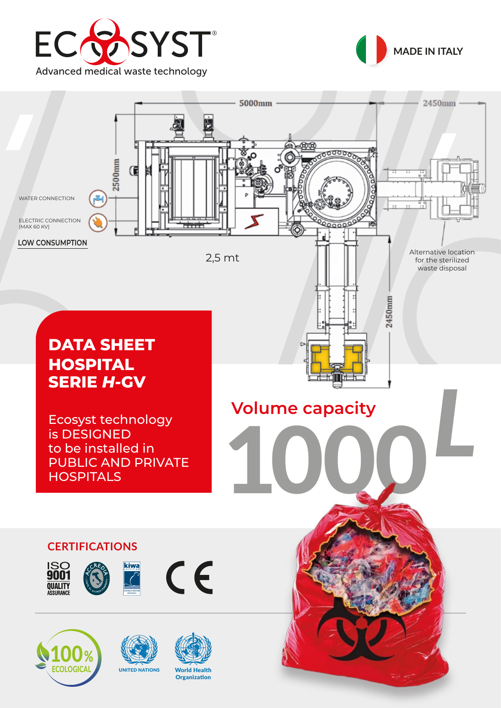